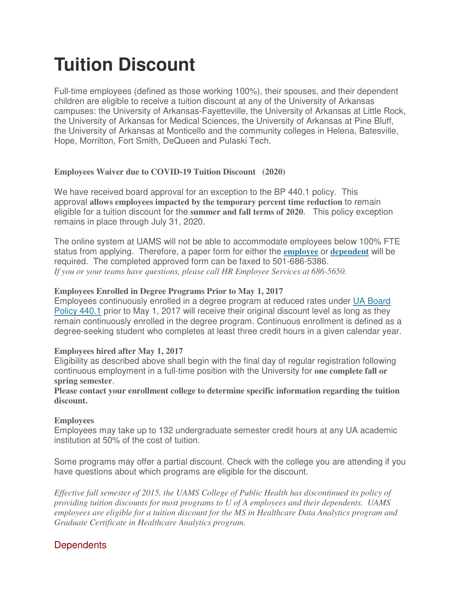# **Tuition Discount**

Full-time employees (defined as those working 100%), their spouses, and their dependent children are eligible to receive a tuition discount at any of the University of Arkansas campuses: the University of Arkansas-Fayetteville, the University of Arkansas at Little Rock, the University of Arkansas for Medical Sciences, the University of Arkansas at Pine Bluff, the University of Arkansas at Monticello and the community colleges in Helena, Batesville, Hope, Morrilton, Fort Smith, DeQueen and Pulaski Tech.

#### **Employees Waiver due to COVID-19 Tuition Discount (2020)**

We have received board approval for an exception to the BP 440.1 policy. This approval **allows employees impacted by the temporary percent time reduction** to remain eligible for a tuition discount for the **summer and fall terms of 2020**. This policy exception remains in place through July 31, 2020.

The online system at UAMS will not be able to accommodate employees below 100% FTE status from applying. Therefore, a paper form for either the **[employee](https://hr.uams.edu/files/2020/05/Tuition-Discount-EMPLOYEE-fillable.pdf)** or **[dependent](https://hr.uams.edu/files/2020/05/Tuition_Discount_Dependent-fillable.pdf)** will be required. The completed approved form can be faxed to 501-686-5386. *If you or your teams have questions, please call HR Employee Services at 686-5650.* 

#### **Employees Enrolled in Degree Programs Prior to May 1, 2017**

Employees continuously enrolled in a degree program at reduced rates under UA [Board](https://www.uasys.edu/wp-content/uploads/sites/16/2016/11/0440-1-Tuition-Waiver-for-Employees.pdf) [Policy](https://www.uasys.edu/wp-content/uploads/sites/16/2016/11/0440-1-Tuition-Waiver-for-Employees.pdf) 440.1 prior to May 1, 2017 will receive their original discount level as long as they remain continuously enrolled in the degree program. Continuous enrollment is defined as a degree-seeking student who completes at least three credit hours in a given calendar year.

## **Employees hired after May 1, 2017**

Eligibility as described above shall begin with the final day of regular registration following continuous employment in a full-time position with the University for **one complete fall or spring semester**.

**Please contact your enrollment college to determine specific information regarding the tuition discount.**

#### **Employees**

Employees may take up to 132 undergraduate semester credit hours at any UA academic institution at 50% of the cost of tuition.

Some programs may offer a partial discount. Check with the college you are attending if you have questions about which programs are eligible for the discount.

*Effective fall semester of 2015, the UAMS College of Public Health has discontinued its policy of providing tuition discounts for most programs to U of A employees and their dependents. UAMS employees are eligible for a tuition discount for the MS in Healthcare Data Analytics program and Graduate Certificate in Healthcare Analytics program.*

## **Dependents**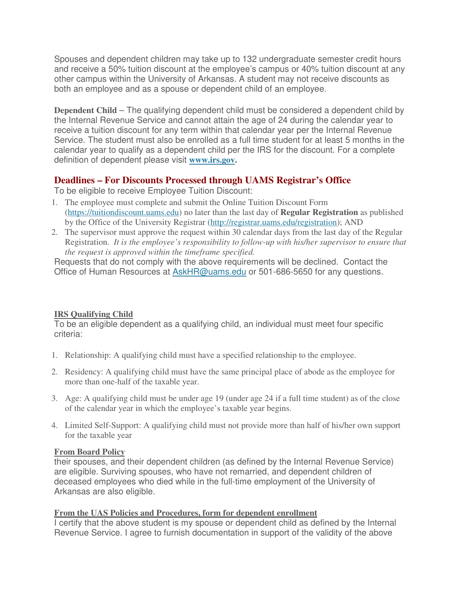Spouses and dependent children may take up to 132 undergraduate semester credit hours and receive a 50% tuition discount at the employee's campus or 40% tuition discount at any other campus within the University of Arkansas. A student may not receive discounts as both an employee and as a spouse or dependent child of an employee.

**Dependent Child** – The qualifying dependent child must be considered a dependent child by the Internal Revenue Service and cannot attain the age of 24 during the calendar year to receive a tuition discount for any term within that calendar year per the Internal Revenue Service. The student must also be enrolled as a full time student for at least 5 months in the calendar year to qualify as a dependent child per the IRS for the discount. For a complete definition of dependent please visit **[www.irs.gov.](http://www.irs.gov/pub/irs-pdf/p501.pdf)**

## **Deadlines – For Discounts Processed through UAMS Registrar's Office**

To be eligible to receive Employee Tuition Discount:

- 1. The employee must complete and submit the Online Tuition Discount Form [\(https://tuitiondiscount.uams.edu\)](https://tuitiondiscount.uams.edu/) no later than the last day of **Regular Registration** as published by the Office of the University Registrar [\(http://registrar.uams.edu/registration\)](http://registrar.uams.edu/registration); AND
- 2. The supervisor must approve the request within 30 calendar days from the last day of the Regular Registration. *It is the employee's responsibility to follow-up with his/her supervisor to ensure that the request is approved within the timeframe specified.*

Requests that do not comply with the above requirements will be declined. Contact the Office of Human Resources at [AskHR@uams.edu](mailto:AskHR@uams.edu) or 501-686-5650 for any questions.

## **IRS Qualifying Child**

To be an eligible dependent as a qualifying child, an individual must meet four specific criteria:

- 1. Relationship: A qualifying child must have a specified relationship to the employee.
- 2. Residency: A qualifying child must have the same principal place of abode as the employee for more than one-half of the taxable year.
- 3. Age: A qualifying child must be under age 19 (under age 24 if a full time student) as of the close of the calendar year in which the employee's taxable year begins.
- 4. Limited Self-Support: A qualifying child must not provide more than half of his/her own support for the taxable year

## **From Board Policy**

their spouses, and their dependent children (as defined by the Internal Revenue Service) are eligible. Surviving spouses, who have not remarried, and dependent children of deceased employees who died while in the full-time employment of the University of Arkansas are also eligible.

## **From the UAS Policies and Procedures, form for dependent enrollment**

I certify that the above student is my spouse or dependent child as defined by the Internal Revenue Service. I agree to furnish documentation in support of the validity of the above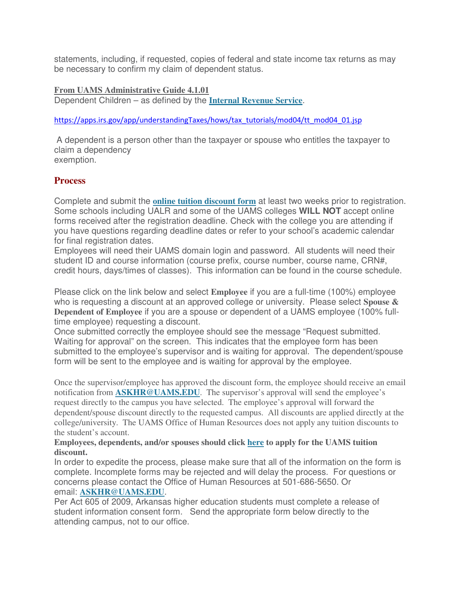statements, including, if requested, copies of federal and state income tax returns as may be necessary to confirm my claim of dependent status.

#### **From UAMS Administrative Guide 4.1.01**

Dependent Children – as defined by the **Internal [Revenue](https://apps.irs.gov/app/understandingTaxes/hows/tax_tutorials/mod04/tt_mod04_01.jsp) Service**.

#### [https://apps.irs.gov/app/understandingTaxes/hows/tax\\_tutorials/mod04/tt\\_mod04\\_01.jsp](https://apps.irs.gov/app/understandingTaxes/hows/tax_tutorials/mod04/tt_mod04_01.jsp)

A dependent is a person other than the taxpayer or spouse who entitles the taxpayer to claim a dependency exemption.

## **Process**

Complete and submit the **[online tuition discount](https://tuitiondiscount.uams.edu/) form** at least two weeks prior to registration. Some schools including UALR and some of the UAMS colleges **WILL NOT** accept online forms received after the registration deadline. Check with the college you are attending if you have questions regarding deadline dates or refer to your school's academic calendar for final registration dates.

Employees will need their UAMS domain login and password. All students will need their student ID and course information (course prefix, course number, course name, CRN#, credit hours, days/times of classes). This information can be found in the course schedule.

Please click on the link below and select **Employee** if you are a full-time (100%) employee who is requesting a discount at an approved college or university. Please select **Spouse & Dependent of Employee** if you are a spouse or dependent of a UAMS employee (100% fulltime employee) requesting a discount.

Once submitted correctly the employee should see the message "Request submitted. Waiting for approval" on the screen. This indicates that the employee form has been submitted to the employee's supervisor and is waiting for approval. The dependent/spouse form will be sent to the employee and is waiting for approval by the employee.

Once the supervisor/employee has approved the discount form, the employee should receive an email notification from **[ASKHR@UAMS.EDU](mailto:ASKHR@UAMS.EDU)**. The supervisor's approval will send the employee's request directly to the campus you have selected. The employee's approval will forward the dependent/spouse discount directly to the requested campus. All discounts are applied directly at the college/university. The UAMS Office of Human Resources does not apply any tuition discounts to the student's account.

#### **Employees, dependents, and/or spouses should click [here](https://tuitiondiscount.uams.edu/) to apply for the UAMS tuition discount.**

In order to expedite the process, please make sure that all of the information on the form is complete. Incomplete forms may be rejected and will delay the process. For questions or concerns please contact the Office of Human Resources at 501-686-5650. Or email: **[ASKHR@UAMS.EDU](mailto:ASKHR@UAMS.EDU)**.

Per Act 605 of 2009, Arkansas higher education students must complete a release of student information consent form. Send the appropriate form below directly to the attending campus, not to our office.